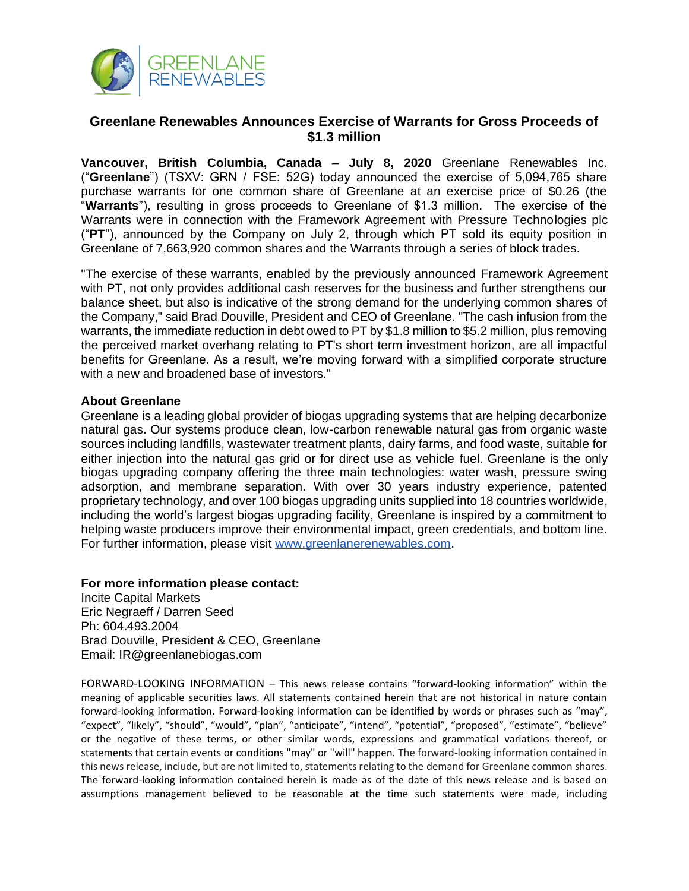

## **Greenlane Renewables Announces Exercise of Warrants for Gross Proceeds of \$1.3 million**

**Vancouver, British Columbia, Canada** – **July 8, 2020** Greenlane Renewables Inc. ("**Greenlane**") (TSXV: GRN / FSE: 52G) today announced the exercise of 5,094,765 share purchase warrants for one common share of Greenlane at an exercise price of \$0.26 (the "**Warrants**"), resulting in gross proceeds to Greenlane of \$1.3 million. The exercise of the Warrants were in connection with the Framework Agreement with Pressure Technologies plc ("**PT**"), announced by the Company on July 2, through which PT sold its equity position in Greenlane of 7,663,920 common shares and the Warrants through a series of block trades.

"The exercise of these warrants, enabled by the previously announced Framework Agreement with PT, not only provides additional cash reserves for the business and further strengthens our balance sheet, but also is indicative of the strong demand for the underlying common shares of the Company," said Brad Douville, President and CEO of Greenlane. "The cash infusion from the warrants, the immediate reduction in debt owed to PT by \$1.8 million to \$5.2 million, plus removing the perceived market overhang relating to PT's short term investment horizon, are all impactful benefits for Greenlane. As a result, we're moving forward with a simplified corporate structure with a new and broadened base of investors."

## **About Greenlane**

Greenlane is a leading global provider of biogas upgrading systems that are helping decarbonize natural gas. Our systems produce clean, low-carbon renewable natural gas from organic waste sources including landfills, wastewater treatment plants, dairy farms, and food waste, suitable for either injection into the natural gas grid or for direct use as vehicle fuel. Greenlane is the only biogas upgrading company offering the three main technologies: water wash, pressure swing adsorption, and membrane separation. With over 30 years industry experience, patented proprietary technology, and over 100 biogas upgrading units supplied into 18 countries worldwide, including the world's largest biogas upgrading facility, Greenlane is inspired by a commitment to helping waste producers improve their environmental impact, green credentials, and bottom line. For further information, please visit [www.greenlanerenewables.com.](http://www.greenlanerenewables.com/)

**For more information please contact:** Incite Capital Markets Eric Negraeff / Darren Seed Ph: 604.493.2004 Brad Douville, President & CEO, Greenlane Email: IR@greenlanebiogas.com

FORWARD-LOOKING INFORMATION – This news release contains "forward-looking information" within the meaning of applicable securities laws. All statements contained herein that are not historical in nature contain forward-looking information. Forward-looking information can be identified by words or phrases such as "may", "expect", "likely", "should", "would", "plan", "anticipate", "intend", "potential", "proposed", "estimate", "believe" or the negative of these terms, or other similar words, expressions and grammatical variations thereof, or statements that certain events or conditions "may" or "will" happen. The forward-looking information contained in this news release, include, but are not limited to, statements relating to the demand for Greenlane common shares. The forward-looking information contained herein is made as of the date of this news release and is based on assumptions management believed to be reasonable at the time such statements were made, including